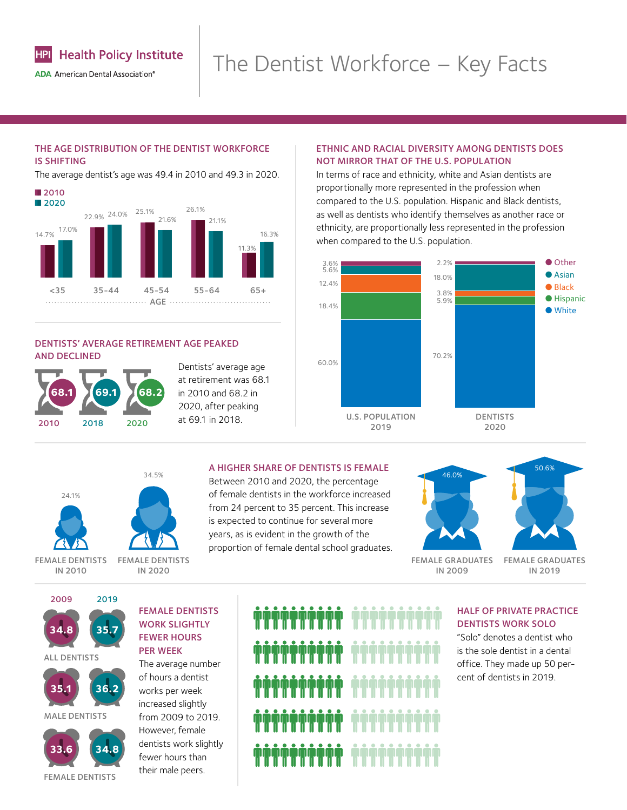

**ADA** American Dental Association®

# The Dentist Workforce – Key Facts

# THE AGE DISTRIBUTION OF THE DENTIST WORKFORCE IS SHIFTING

The average dentist's age was 49.4 in 2010 and 49.3 in 2020.



## DENTISTS' AVERAGE RETIREMENT AGE PEAKED AND DECLINED



Dentists' average age at retirement was 68.1 in 2010 and 68.2 in 2020, after peaking

## ETHNIC AND RACIAL DIVERSITY AMONG DENTISTS DOES NOT MIRROR THAT OF THE U.S. POPULATION

In terms of race and ethnicity, white and Asian dentists are proportionally more represented in the profession when compared to the U.S. population. Hispanic and Black dentists, as well as dentists who identify themselves as another race or ethnicity, are proportionally less represented in the profession when compared to the U.S. population.



#### A HIGHER SHARE OF DENTISTS IS FEMALE

Between 2010 and 2020, the percentage of female dentists in the workforce increased from 24 percent to 35 percent. This increase is expected to continue for several more years, as is evident in the growth of the proportion of female dental school graduates.



FEMALE GRADUATES IN 2009

FEMALE GRADUATES

50.6%

IN 2019

# HALF OF PRIVATE PRACTICE DENTISTS WORK SOLO

"Solo" denotes a dentist who is the sole dentist in a dental office. They made up 50 percent of dentists in 2019.



24.1%



34.5%

IN 2010

2009

**34.8**

**35.1**

**33.6**

MALE DENTISTS

**36.2**

**34.8**

FEMALE DENTISTS

IN 2020

FEMALE DENTISTS WORK SLIGHTLY FEWER HOURS PER WEEK ALL DENTISTS 2019 **35.7**

The average number of hours a dentist works per week increased slightly from 2009 to 2019. However, female dentists work slightly fewer hours than their male peers.

# بالباليان بالباليان بالبار الأرائل